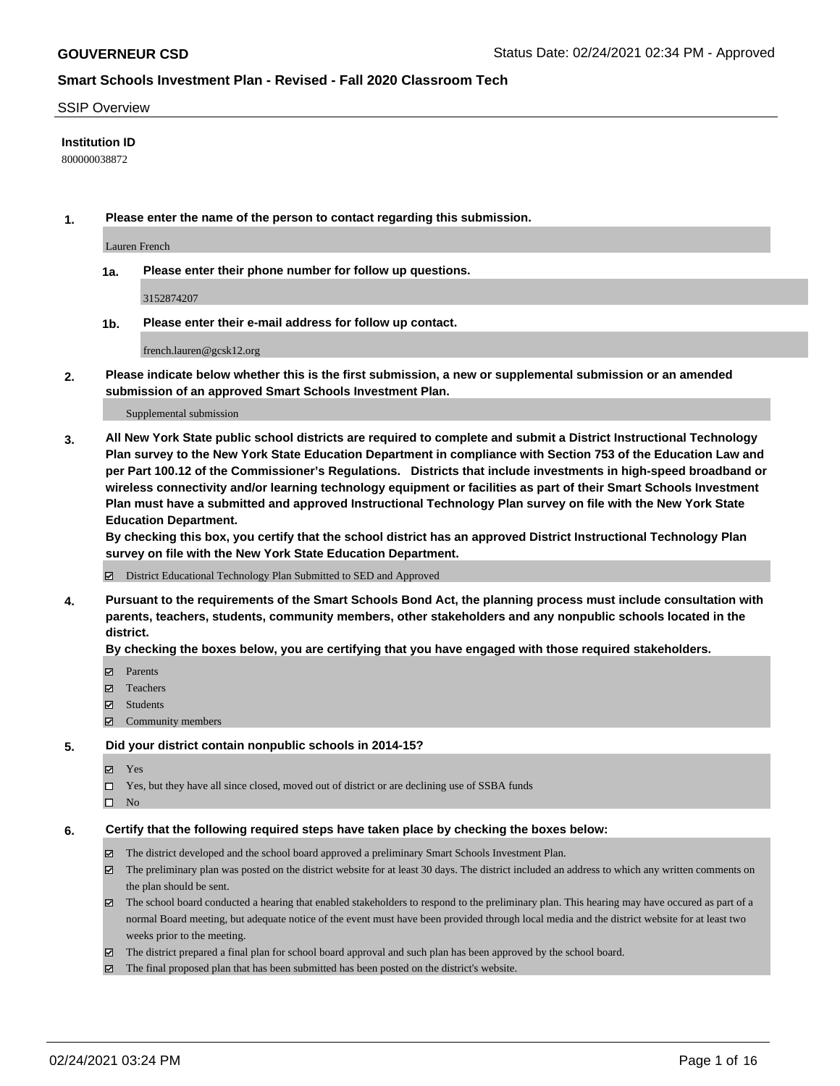#### SSIP Overview

### **Institution ID**

800000038872

**1. Please enter the name of the person to contact regarding this submission.**

Lauren French

**1a. Please enter their phone number for follow up questions.**

3152874207

**1b. Please enter their e-mail address for follow up contact.**

french.lauren@gcsk12.org

**2. Please indicate below whether this is the first submission, a new or supplemental submission or an amended submission of an approved Smart Schools Investment Plan.**

#### Supplemental submission

**3. All New York State public school districts are required to complete and submit a District Instructional Technology Plan survey to the New York State Education Department in compliance with Section 753 of the Education Law and per Part 100.12 of the Commissioner's Regulations. Districts that include investments in high-speed broadband or wireless connectivity and/or learning technology equipment or facilities as part of their Smart Schools Investment Plan must have a submitted and approved Instructional Technology Plan survey on file with the New York State Education Department.** 

**By checking this box, you certify that the school district has an approved District Instructional Technology Plan survey on file with the New York State Education Department.**

District Educational Technology Plan Submitted to SED and Approved

**4. Pursuant to the requirements of the Smart Schools Bond Act, the planning process must include consultation with parents, teachers, students, community members, other stakeholders and any nonpublic schools located in the district.** 

#### **By checking the boxes below, you are certifying that you have engaged with those required stakeholders.**

- **Ø** Parents
- Teachers
- Students
- $\Xi$  Community members

#### **5. Did your district contain nonpublic schools in 2014-15?**

- Yes
- □ Yes, but they have all since closed, moved out of district or are declining use of SSBA funds
- $\hfill \square$  No

#### **6. Certify that the following required steps have taken place by checking the boxes below:**

- The district developed and the school board approved a preliminary Smart Schools Investment Plan.
- The preliminary plan was posted on the district website for at least 30 days. The district included an address to which any written comments on the plan should be sent.
- The school board conducted a hearing that enabled stakeholders to respond to the preliminary plan. This hearing may have occured as part of a normal Board meeting, but adequate notice of the event must have been provided through local media and the district website for at least two weeks prior to the meeting.
- The district prepared a final plan for school board approval and such plan has been approved by the school board.
- $\boxtimes$  The final proposed plan that has been submitted has been posted on the district's website.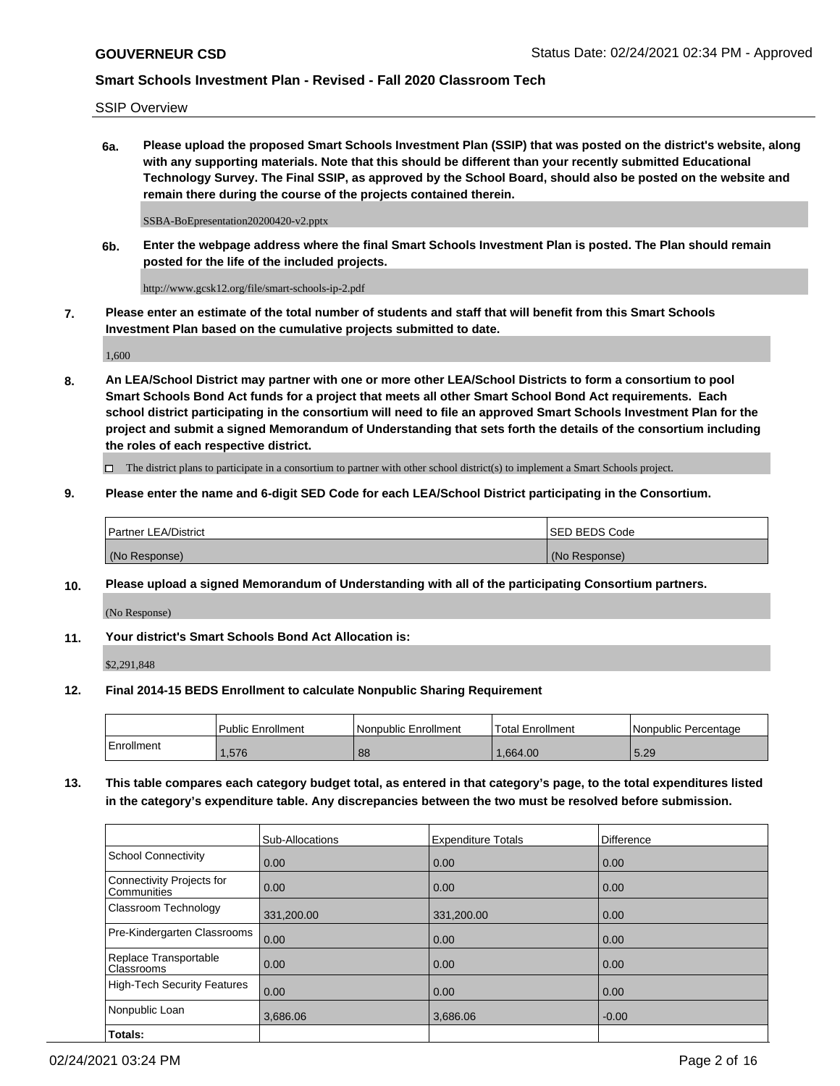SSIP Overview

**6a. Please upload the proposed Smart Schools Investment Plan (SSIP) that was posted on the district's website, along with any supporting materials. Note that this should be different than your recently submitted Educational Technology Survey. The Final SSIP, as approved by the School Board, should also be posted on the website and remain there during the course of the projects contained therein.**

SSBA-BoEpresentation20200420-v2.pptx

**6b. Enter the webpage address where the final Smart Schools Investment Plan is posted. The Plan should remain posted for the life of the included projects.**

http://www.gcsk12.org/file/smart-schools-ip-2.pdf

**7. Please enter an estimate of the total number of students and staff that will benefit from this Smart Schools Investment Plan based on the cumulative projects submitted to date.**

1,600

**8. An LEA/School District may partner with one or more other LEA/School Districts to form a consortium to pool Smart Schools Bond Act funds for a project that meets all other Smart School Bond Act requirements. Each school district participating in the consortium will need to file an approved Smart Schools Investment Plan for the project and submit a signed Memorandum of Understanding that sets forth the details of the consortium including the roles of each respective district.**

 $\Box$  The district plans to participate in a consortium to partner with other school district(s) to implement a Smart Schools project.

## **9. Please enter the name and 6-digit SED Code for each LEA/School District participating in the Consortium.**

| Partner LEA/District | <b>ISED BEDS Code</b> |
|----------------------|-----------------------|
| (No Response)        | (No Response)         |

## **10. Please upload a signed Memorandum of Understanding with all of the participating Consortium partners.**

(No Response)

**11. Your district's Smart Schools Bond Act Allocation is:**

\$2,291,848

## **12. Final 2014-15 BEDS Enrollment to calculate Nonpublic Sharing Requirement**

|            | Public Enrollment | Nonpublic Enrollment | <b>Total Enrollment</b> | I Nonpublic Percentage |
|------------|-------------------|----------------------|-------------------------|------------------------|
| Enrollment | .576              | 88                   | .664.00                 | 5.29                   |

**13. This table compares each category budget total, as entered in that category's page, to the total expenditures listed in the category's expenditure table. Any discrepancies between the two must be resolved before submission.**

|                                          | Sub-Allocations | <b>Expenditure Totals</b> | <b>Difference</b> |
|------------------------------------------|-----------------|---------------------------|-------------------|
| <b>School Connectivity</b>               | 0.00            | 0.00                      | 0.00              |
| Connectivity Projects for<br>Communities | 0.00            | 0.00                      | 0.00              |
| Classroom Technology                     | 331,200.00      | 331,200.00                | 0.00              |
| Pre-Kindergarten Classrooms              | 0.00            | 0.00                      | 0.00              |
| Replace Transportable<br>Classrooms      | 0.00            | 0.00                      | 0.00              |
| <b>High-Tech Security Features</b>       | 0.00            | 0.00                      | 0.00              |
| Nonpublic Loan                           | 3,686.06        | 3,686.06                  | $-0.00$           |
| Totals:                                  |                 |                           |                   |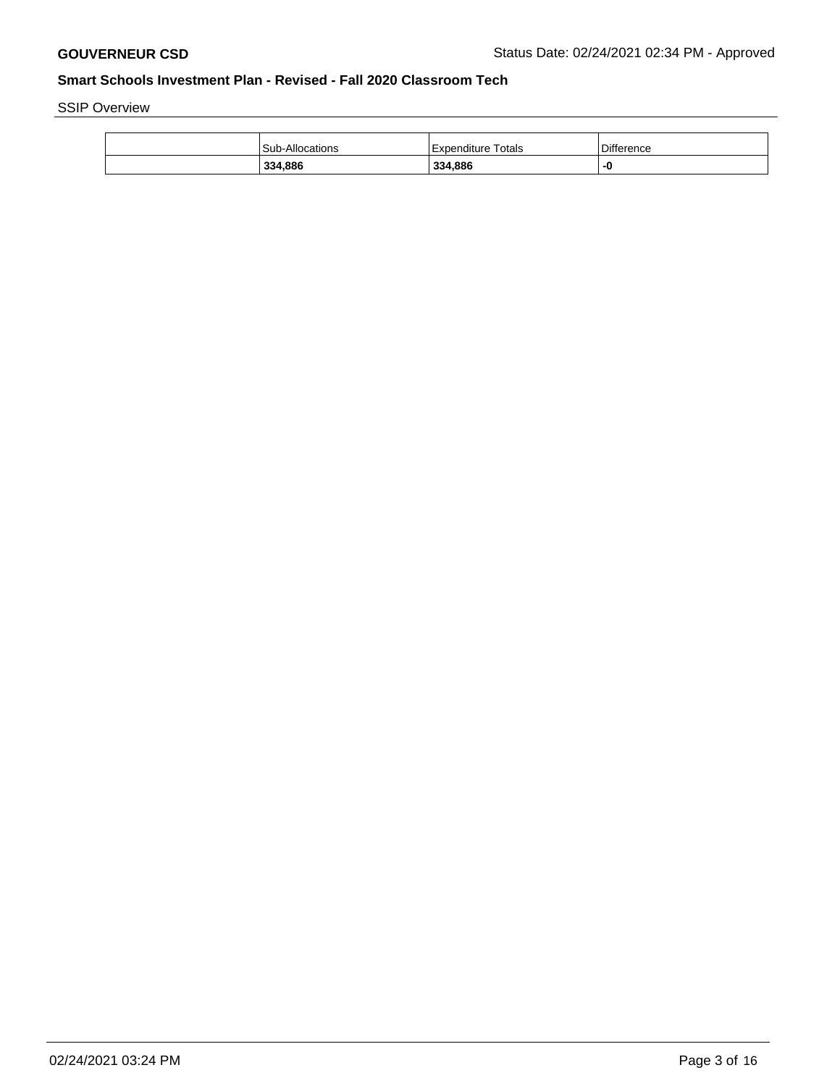SSIP Overview

| 334,886                | 334,886            |                   |
|------------------------|--------------------|-------------------|
| <b>Sub-Allocations</b> | Expenditure Totals | <b>Difference</b> |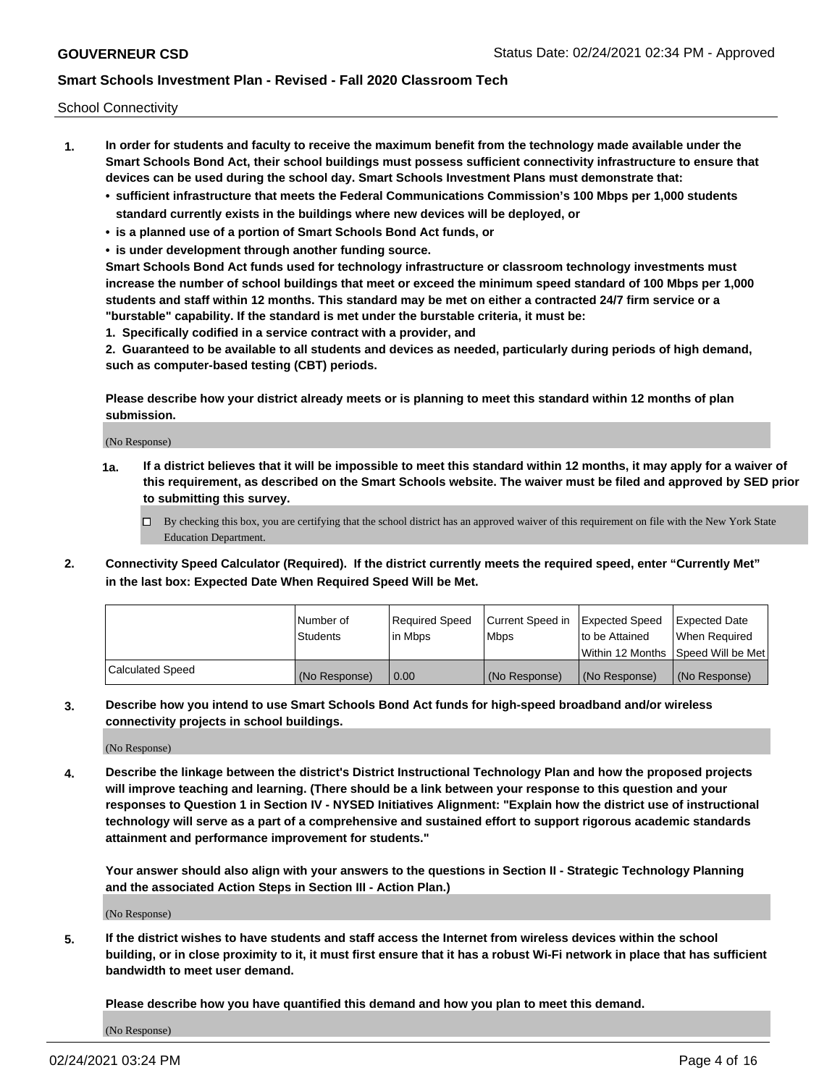School Connectivity

- **1. In order for students and faculty to receive the maximum benefit from the technology made available under the Smart Schools Bond Act, their school buildings must possess sufficient connectivity infrastructure to ensure that devices can be used during the school day. Smart Schools Investment Plans must demonstrate that:**
	- **• sufficient infrastructure that meets the Federal Communications Commission's 100 Mbps per 1,000 students standard currently exists in the buildings where new devices will be deployed, or**
	- **• is a planned use of a portion of Smart Schools Bond Act funds, or**
	- **• is under development through another funding source.**

**Smart Schools Bond Act funds used for technology infrastructure or classroom technology investments must increase the number of school buildings that meet or exceed the minimum speed standard of 100 Mbps per 1,000 students and staff within 12 months. This standard may be met on either a contracted 24/7 firm service or a "burstable" capability. If the standard is met under the burstable criteria, it must be:**

**1. Specifically codified in a service contract with a provider, and**

**2. Guaranteed to be available to all students and devices as needed, particularly during periods of high demand, such as computer-based testing (CBT) periods.**

**Please describe how your district already meets or is planning to meet this standard within 12 months of plan submission.**

(No Response)

**1a. If a district believes that it will be impossible to meet this standard within 12 months, it may apply for a waiver of this requirement, as described on the Smart Schools website. The waiver must be filed and approved by SED prior to submitting this survey.**

 $\Box$  By checking this box, you are certifying that the school district has an approved waiver of this requirement on file with the New York State Education Department.

**2. Connectivity Speed Calculator (Required). If the district currently meets the required speed, enter "Currently Met" in the last box: Expected Date When Required Speed Will be Met.**

|                  | l Number of     | Required Speed | Current Speed in | Expected Speed | Expected Date                        |
|------------------|-----------------|----------------|------------------|----------------|--------------------------------------|
|                  | <b>Students</b> | In Mbps        | <b>Mbps</b>      | to be Attained | When Required                        |
|                  |                 |                |                  |                | Within 12 Months 1Speed Will be Met1 |
| Calculated Speed | (No Response)   | 0.00           | (No Response)    | (No Response)  | l (No Response)                      |

**3. Describe how you intend to use Smart Schools Bond Act funds for high-speed broadband and/or wireless connectivity projects in school buildings.**

(No Response)

**4. Describe the linkage between the district's District Instructional Technology Plan and how the proposed projects will improve teaching and learning. (There should be a link between your response to this question and your responses to Question 1 in Section IV - NYSED Initiatives Alignment: "Explain how the district use of instructional technology will serve as a part of a comprehensive and sustained effort to support rigorous academic standards attainment and performance improvement for students."** 

**Your answer should also align with your answers to the questions in Section II - Strategic Technology Planning and the associated Action Steps in Section III - Action Plan.)**

(No Response)

**5. If the district wishes to have students and staff access the Internet from wireless devices within the school building, or in close proximity to it, it must first ensure that it has a robust Wi-Fi network in place that has sufficient bandwidth to meet user demand.**

**Please describe how you have quantified this demand and how you plan to meet this demand.**

(No Response)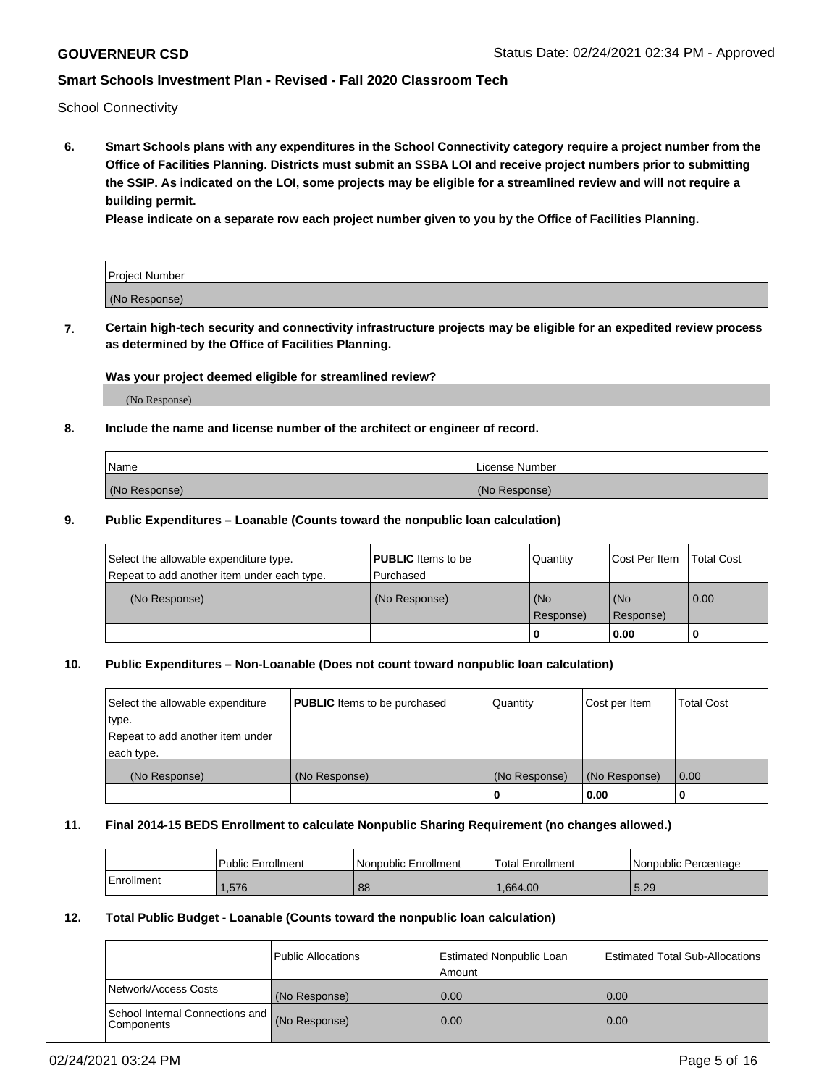School Connectivity

**6. Smart Schools plans with any expenditures in the School Connectivity category require a project number from the Office of Facilities Planning. Districts must submit an SSBA LOI and receive project numbers prior to submitting the SSIP. As indicated on the LOI, some projects may be eligible for a streamlined review and will not require a building permit.**

**Please indicate on a separate row each project number given to you by the Office of Facilities Planning.**

| Project Number |  |
|----------------|--|
| (No Response)  |  |

**7. Certain high-tech security and connectivity infrastructure projects may be eligible for an expedited review process as determined by the Office of Facilities Planning.**

## **Was your project deemed eligible for streamlined review?**

(No Response)

### **8. Include the name and license number of the architect or engineer of record.**

| Name          | License Number |
|---------------|----------------|
| (No Response) | (No Response)  |

### **9. Public Expenditures – Loanable (Counts toward the nonpublic loan calculation)**

| Select the allowable expenditure type.<br>Repeat to add another item under each type. | <b>PUBLIC</b> Items to be<br>l Purchased | Quantity           | Cost Per Item    | <b>Total Cost</b> |
|---------------------------------------------------------------------------------------|------------------------------------------|--------------------|------------------|-------------------|
| (No Response)                                                                         | (No Response)                            | l (No<br>Response) | (No<br>Response) | $\overline{0.00}$ |
|                                                                                       |                                          | 0                  | 0.00             |                   |

## **10. Public Expenditures – Non-Loanable (Does not count toward nonpublic loan calculation)**

| Select the allowable expenditure<br>type.<br>Repeat to add another item under<br>each type. | <b>PUBLIC</b> Items to be purchased | Quantity      | Cost per Item | <b>Total Cost</b> |
|---------------------------------------------------------------------------------------------|-------------------------------------|---------------|---------------|-------------------|
| (No Response)                                                                               | (No Response)                       | (No Response) | (No Response) | 0.00              |
|                                                                                             |                                     |               | 0.00          |                   |

#### **11. Final 2014-15 BEDS Enrollment to calculate Nonpublic Sharing Requirement (no changes allowed.)**

|            | Public Enrollment | l Nonpublic Enrollment | <b>Total Enrollment</b> | Nonpublic Percentage |
|------------|-------------------|------------------------|-------------------------|----------------------|
| Enrollment | .576              | 88                     | .664.00                 | 5.29                 |

#### **12. Total Public Budget - Loanable (Counts toward the nonpublic loan calculation)**

|                                               | Public Allocations | <b>Estimated Nonpublic Loan</b><br>Amount | Estimated Total Sub-Allocations |
|-----------------------------------------------|--------------------|-------------------------------------------|---------------------------------|
| Network/Access Costs                          | (No Response)      | 0.00                                      | 0.00                            |
| School Internal Connections and<br>Components | (No Response)      | 0.00                                      | 0.00                            |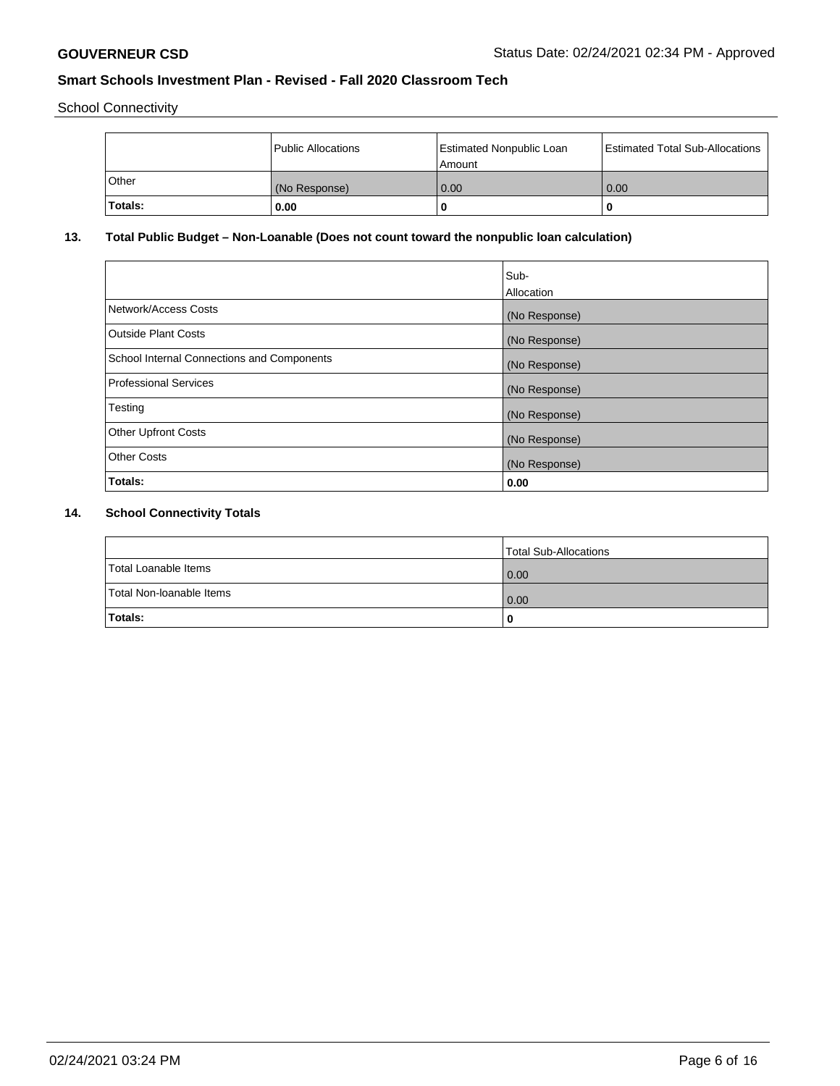School Connectivity

|         | Public Allocations | <b>Estimated Nonpublic Loan</b><br>l Amount | <b>Estimated Total Sub-Allocations</b> |
|---------|--------------------|---------------------------------------------|----------------------------------------|
| l Other | (No Response)      | 0.00                                        | 0.00                                   |
| Totals: | 0.00               | 0                                           |                                        |

# **13. Total Public Budget – Non-Loanable (Does not count toward the nonpublic loan calculation)**

| Sub-<br>Allocation |
|--------------------|
| (No Response)      |
| (No Response)      |
| (No Response)      |
| (No Response)      |
| (No Response)      |
| (No Response)      |
| (No Response)      |
| 0.00               |
|                    |

# **14. School Connectivity Totals**

|                          | Total Sub-Allocations |
|--------------------------|-----------------------|
| Total Loanable Items     | 0.00                  |
| Total Non-Ioanable Items | 0.00                  |
| Totals:                  |                       |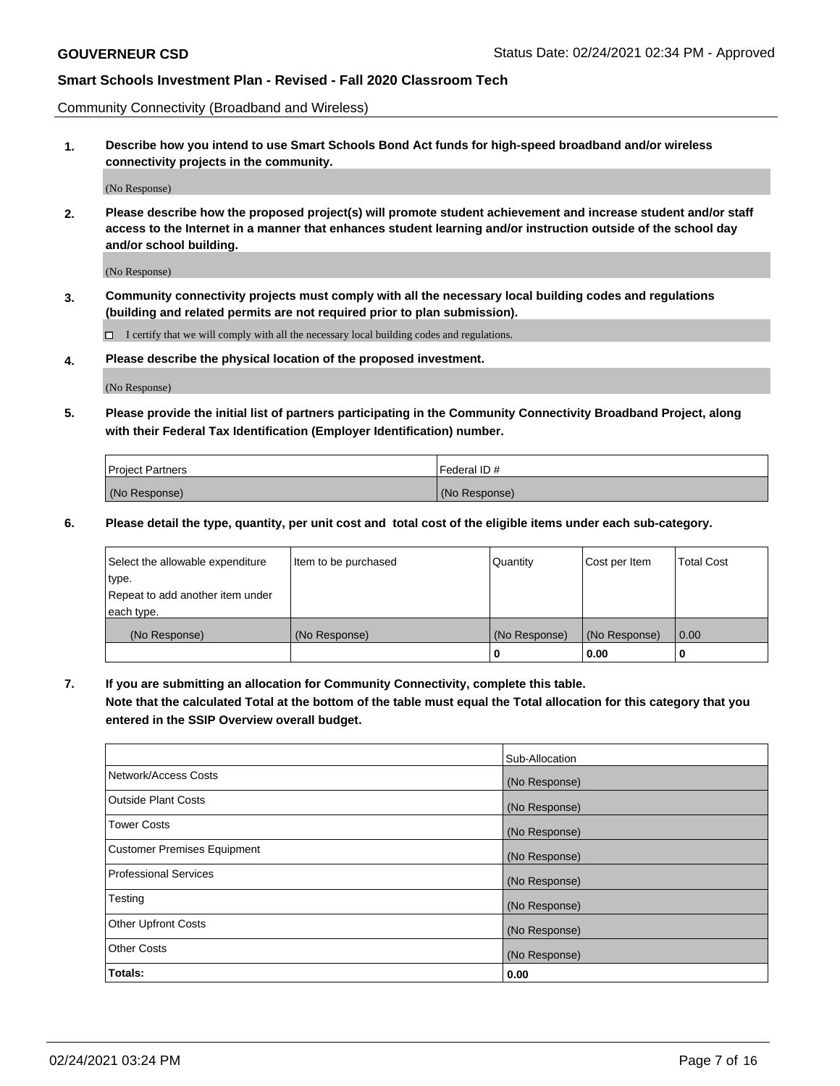Community Connectivity (Broadband and Wireless)

**1. Describe how you intend to use Smart Schools Bond Act funds for high-speed broadband and/or wireless connectivity projects in the community.**

(No Response)

**2. Please describe how the proposed project(s) will promote student achievement and increase student and/or staff access to the Internet in a manner that enhances student learning and/or instruction outside of the school day and/or school building.**

(No Response)

**3. Community connectivity projects must comply with all the necessary local building codes and regulations (building and related permits are not required prior to plan submission).**

 $\Box$  I certify that we will comply with all the necessary local building codes and regulations.

**4. Please describe the physical location of the proposed investment.**

(No Response)

**5. Please provide the initial list of partners participating in the Community Connectivity Broadband Project, along with their Federal Tax Identification (Employer Identification) number.**

| <b>Project Partners</b> | l Federal ID # |
|-------------------------|----------------|
| (No Response)           | (No Response)  |

**6. Please detail the type, quantity, per unit cost and total cost of the eligible items under each sub-category.**

| Select the allowable expenditure | Item to be purchased | Quantity      | Cost per Item | <b>Total Cost</b> |
|----------------------------------|----------------------|---------------|---------------|-------------------|
| type.                            |                      |               |               |                   |
| Repeat to add another item under |                      |               |               |                   |
| each type.                       |                      |               |               |                   |
| (No Response)                    | (No Response)        | (No Response) | (No Response) | 0.00              |
|                                  |                      | U             | 0.00          |                   |

**7. If you are submitting an allocation for Community Connectivity, complete this table.**

**Note that the calculated Total at the bottom of the table must equal the Total allocation for this category that you entered in the SSIP Overview overall budget.**

|                                    | Sub-Allocation |
|------------------------------------|----------------|
| Network/Access Costs               | (No Response)  |
| Outside Plant Costs                | (No Response)  |
| <b>Tower Costs</b>                 | (No Response)  |
| <b>Customer Premises Equipment</b> | (No Response)  |
| <b>Professional Services</b>       | (No Response)  |
| Testing                            | (No Response)  |
| <b>Other Upfront Costs</b>         | (No Response)  |
| <b>Other Costs</b>                 | (No Response)  |
| Totals:                            | 0.00           |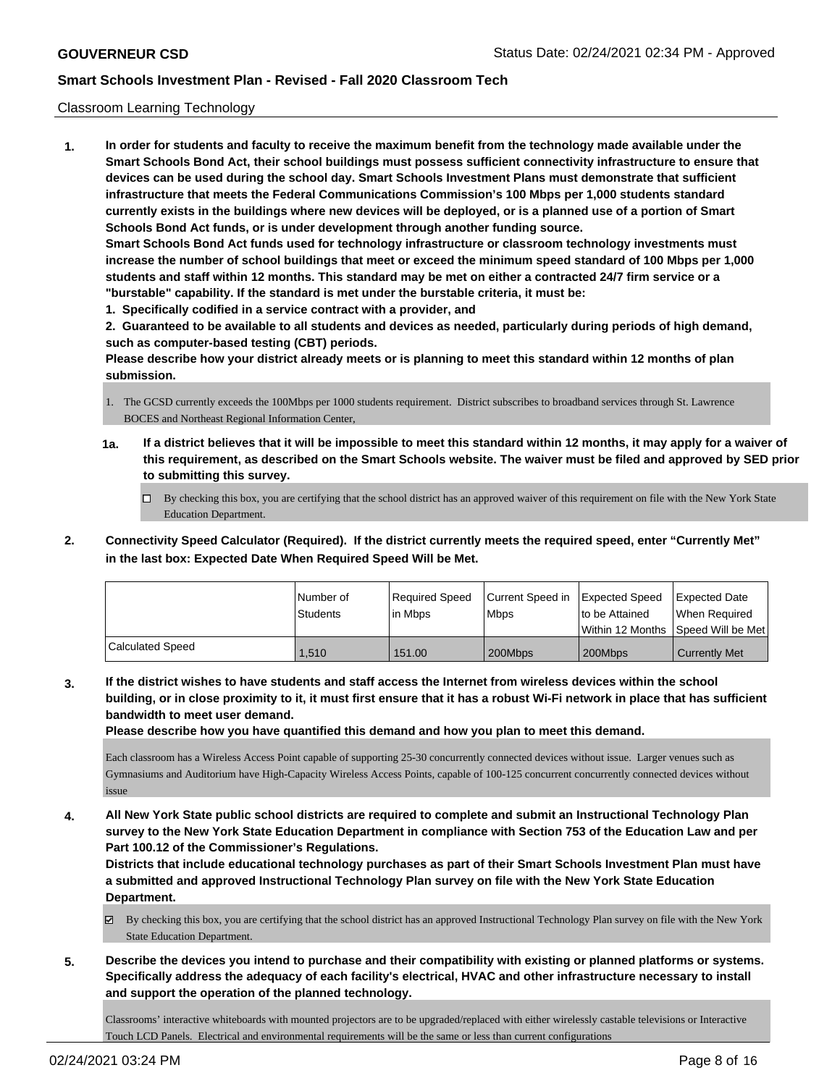### Classroom Learning Technology

**1. In order for students and faculty to receive the maximum benefit from the technology made available under the Smart Schools Bond Act, their school buildings must possess sufficient connectivity infrastructure to ensure that devices can be used during the school day. Smart Schools Investment Plans must demonstrate that sufficient infrastructure that meets the Federal Communications Commission's 100 Mbps per 1,000 students standard currently exists in the buildings where new devices will be deployed, or is a planned use of a portion of Smart Schools Bond Act funds, or is under development through another funding source. Smart Schools Bond Act funds used for technology infrastructure or classroom technology investments must increase the number of school buildings that meet or exceed the minimum speed standard of 100 Mbps per 1,000 students and staff within 12 months. This standard may be met on either a contracted 24/7 firm service or a "burstable" capability. If the standard is met under the burstable criteria, it must be: 1. Specifically codified in a service contract with a provider, and**

**2. Guaranteed to be available to all students and devices as needed, particularly during periods of high demand, such as computer-based testing (CBT) periods.**

**Please describe how your district already meets or is planning to meet this standard within 12 months of plan submission.**

- 1. The GCSD currently exceeds the 100Mbps per 1000 students requirement. District subscribes to broadband services through St. Lawrence BOCES and Northeast Regional Information Center,
- **1a. If a district believes that it will be impossible to meet this standard within 12 months, it may apply for a waiver of this requirement, as described on the Smart Schools website. The waiver must be filed and approved by SED prior to submitting this survey.**
	- By checking this box, you are certifying that the school district has an approved waiver of this requirement on file with the New York State Education Department.
- **2. Connectivity Speed Calculator (Required). If the district currently meets the required speed, enter "Currently Met" in the last box: Expected Date When Required Speed Will be Met.**

|                  | l Number of<br>Students | Required Speed<br>l in Mbps | Current Speed in<br>l Mbps | <b>Expected Speed</b><br>to be Attained | Expected Date<br>When Required<br> Within 12 Months  Speed Will be Met |
|------------------|-------------------------|-----------------------------|----------------------------|-----------------------------------------|------------------------------------------------------------------------|
| Calculated Speed | 1.510                   | 151.00                      | 200Mbps                    | 200Mbps                                 | <b>Currently Met</b>                                                   |

**3. If the district wishes to have students and staff access the Internet from wireless devices within the school building, or in close proximity to it, it must first ensure that it has a robust Wi-Fi network in place that has sufficient bandwidth to meet user demand.**

**Please describe how you have quantified this demand and how you plan to meet this demand.**

Each classroom has a Wireless Access Point capable of supporting 25-30 concurrently connected devices without issue. Larger venues such as Gymnasiums and Auditorium have High-Capacity Wireless Access Points, capable of 100-125 concurrent concurrently connected devices without issue

**4. All New York State public school districts are required to complete and submit an Instructional Technology Plan survey to the New York State Education Department in compliance with Section 753 of the Education Law and per Part 100.12 of the Commissioner's Regulations.**

**Districts that include educational technology purchases as part of their Smart Schools Investment Plan must have a submitted and approved Instructional Technology Plan survey on file with the New York State Education Department.**

By checking this box, you are certifying that the school district has an approved Instructional Technology Plan survey on file with the New York State Education Department.

**5. Describe the devices you intend to purchase and their compatibility with existing or planned platforms or systems. Specifically address the adequacy of each facility's electrical, HVAC and other infrastructure necessary to install and support the operation of the planned technology.**

Classrooms' interactive whiteboards with mounted projectors are to be upgraded/replaced with either wirelessly castable televisions or Interactive Touch LCD Panels. Electrical and environmental requirements will be the same or less than current configurations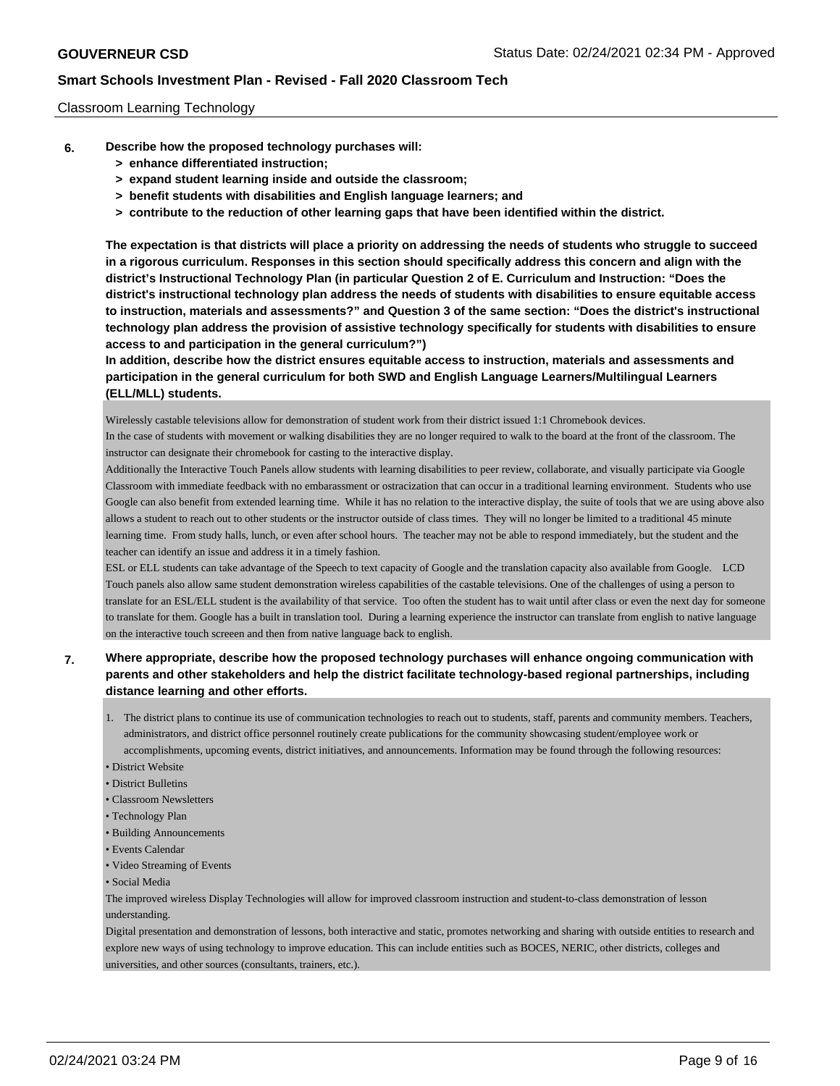## Classroom Learning Technology

- **6. Describe how the proposed technology purchases will:**
	- **> enhance differentiated instruction;**
	- **> expand student learning inside and outside the classroom;**
	- **> benefit students with disabilities and English language learners; and**
	- **> contribute to the reduction of other learning gaps that have been identified within the district.**

**The expectation is that districts will place a priority on addressing the needs of students who struggle to succeed in a rigorous curriculum. Responses in this section should specifically address this concern and align with the district's Instructional Technology Plan (in particular Question 2 of E. Curriculum and Instruction: "Does the district's instructional technology plan address the needs of students with disabilities to ensure equitable access to instruction, materials and assessments?" and Question 3 of the same section: "Does the district's instructional technology plan address the provision of assistive technology specifically for students with disabilities to ensure access to and participation in the general curriculum?")**

**In addition, describe how the district ensures equitable access to instruction, materials and assessments and participation in the general curriculum for both SWD and English Language Learners/Multilingual Learners (ELL/MLL) students.**

Wirelessly castable televisions allow for demonstration of student work from their district issued 1:1 Chromebook devices.

In the case of students with movement or walking disabilities they are no longer required to walk to the board at the front of the classroom. The instructor can designate their chromebook for casting to the interactive display.

Additionally the Interactive Touch Panels allow students with learning disabilities to peer review, collaborate, and visually participate via Google Classroom with immediate feedback with no embarassment or ostracization that can occur in a traditional learning environment. Students who use Google can also benefit from extended learning time. While it has no relation to the interactive display, the suite of tools that we are using above also allows a student to reach out to other students or the instructor outside of class times. They will no longer be limited to a traditional 45 minute learning time. From study halls, lunch, or even after school hours. The teacher may not be able to respond immediately, but the student and the teacher can identify an issue and address it in a timely fashion.

ESL or ELL students can take advantage of the Speech to text capacity of Google and the translation capacity also available from Google. LCD Touch panels also allow same student demonstration wireless capabilities of the castable televisions. One of the challenges of using a person to translate for an ESL/ELL student is the availability of that service. Too often the student has to wait until after class or even the next day for someone to translate for them. Google has a built in translation tool. During a learning experience the instructor can translate from english to native language on the interactive touch screeen and then from native language back to english.

## **7. Where appropriate, describe how the proposed technology purchases will enhance ongoing communication with parents and other stakeholders and help the district facilitate technology-based regional partnerships, including distance learning and other efforts.**

- 1. The district plans to continue its use of communication technologies to reach out to students, staff, parents and community members. Teachers, administrators, and district office personnel routinely create publications for the community showcasing student/employee work or accomplishments, upcoming events, district initiatives, and announcements. Information may be found through the following resources:
- District Website
- District Bulletins
- Classroom Newsletters
- Technology Plan
- Building Announcements
- Events Calendar
- Video Streaming of Events
- Social Media

The improved wireless Display Technologies will allow for improved classroom instruction and student-to-class demonstration of lesson understanding.

Digital presentation and demonstration of lessons, both interactive and static, promotes networking and sharing with outside entities to research and explore new ways of using technology to improve education. This can include entities such as BOCES, NERIC, other districts, colleges and universities, and other sources (consultants, trainers, etc.).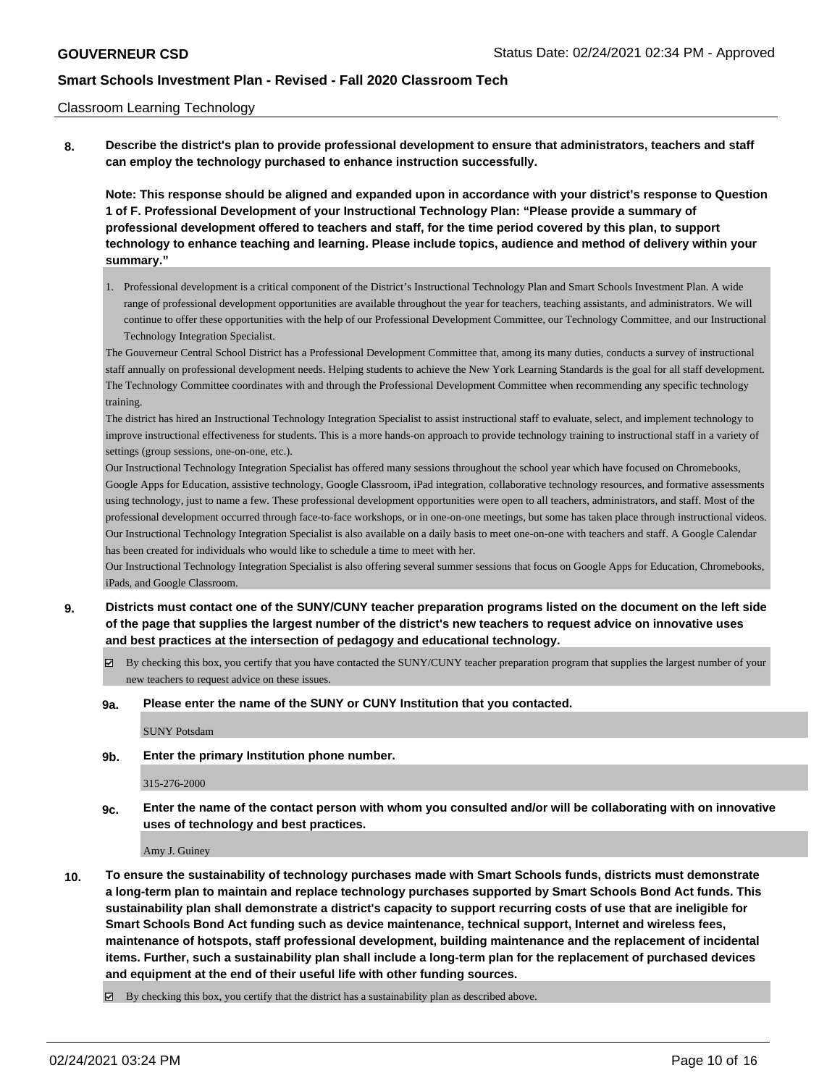#### Classroom Learning Technology

**8. Describe the district's plan to provide professional development to ensure that administrators, teachers and staff can employ the technology purchased to enhance instruction successfully.**

**Note: This response should be aligned and expanded upon in accordance with your district's response to Question 1 of F. Professional Development of your Instructional Technology Plan: "Please provide a summary of professional development offered to teachers and staff, for the time period covered by this plan, to support technology to enhance teaching and learning. Please include topics, audience and method of delivery within your summary."**

1. Professional development is a critical component of the District's Instructional Technology Plan and Smart Schools Investment Plan. A wide range of professional development opportunities are available throughout the year for teachers, teaching assistants, and administrators. We will continue to offer these opportunities with the help of our Professional Development Committee, our Technology Committee, and our Instructional Technology Integration Specialist.

The Gouverneur Central School District has a Professional Development Committee that, among its many duties, conducts a survey of instructional staff annually on professional development needs. Helping students to achieve the New York Learning Standards is the goal for all staff development. The Technology Committee coordinates with and through the Professional Development Committee when recommending any specific technology training.

The district has hired an Instructional Technology Integration Specialist to assist instructional staff to evaluate, select, and implement technology to improve instructional effectiveness for students. This is a more hands-on approach to provide technology training to instructional staff in a variety of settings (group sessions, one-on-one, etc.).

Our Instructional Technology Integration Specialist has offered many sessions throughout the school year which have focused on Chromebooks, Google Apps for Education, assistive technology, Google Classroom, iPad integration, collaborative technology resources, and formative assessments using technology, just to name a few. These professional development opportunities were open to all teachers, administrators, and staff. Most of the professional development occurred through face-to-face workshops, or in one-on-one meetings, but some has taken place through instructional videos. Our Instructional Technology Integration Specialist is also available on a daily basis to meet one-on-one with teachers and staff. A Google Calendar has been created for individuals who would like to schedule a time to meet with her.

Our Instructional Technology Integration Specialist is also offering several summer sessions that focus on Google Apps for Education, Chromebooks, iPads, and Google Classroom.

- **9. Districts must contact one of the SUNY/CUNY teacher preparation programs listed on the document on the left side of the page that supplies the largest number of the district's new teachers to request advice on innovative uses and best practices at the intersection of pedagogy and educational technology.**
	- By checking this box, you certify that you have contacted the SUNY/CUNY teacher preparation program that supplies the largest number of your new teachers to request advice on these issues.
	- **9a. Please enter the name of the SUNY or CUNY Institution that you contacted.**

SUNY Potsdam

**9b. Enter the primary Institution phone number.**

#### 315-276-2000

**9c. Enter the name of the contact person with whom you consulted and/or will be collaborating with on innovative uses of technology and best practices.**

Amy J. Guiney

**10. To ensure the sustainability of technology purchases made with Smart Schools funds, districts must demonstrate a long-term plan to maintain and replace technology purchases supported by Smart Schools Bond Act funds. This sustainability plan shall demonstrate a district's capacity to support recurring costs of use that are ineligible for Smart Schools Bond Act funding such as device maintenance, technical support, Internet and wireless fees, maintenance of hotspots, staff professional development, building maintenance and the replacement of incidental items. Further, such a sustainability plan shall include a long-term plan for the replacement of purchased devices and equipment at the end of their useful life with other funding sources.**

By checking this box, you certify that the district has a sustainability plan as described above.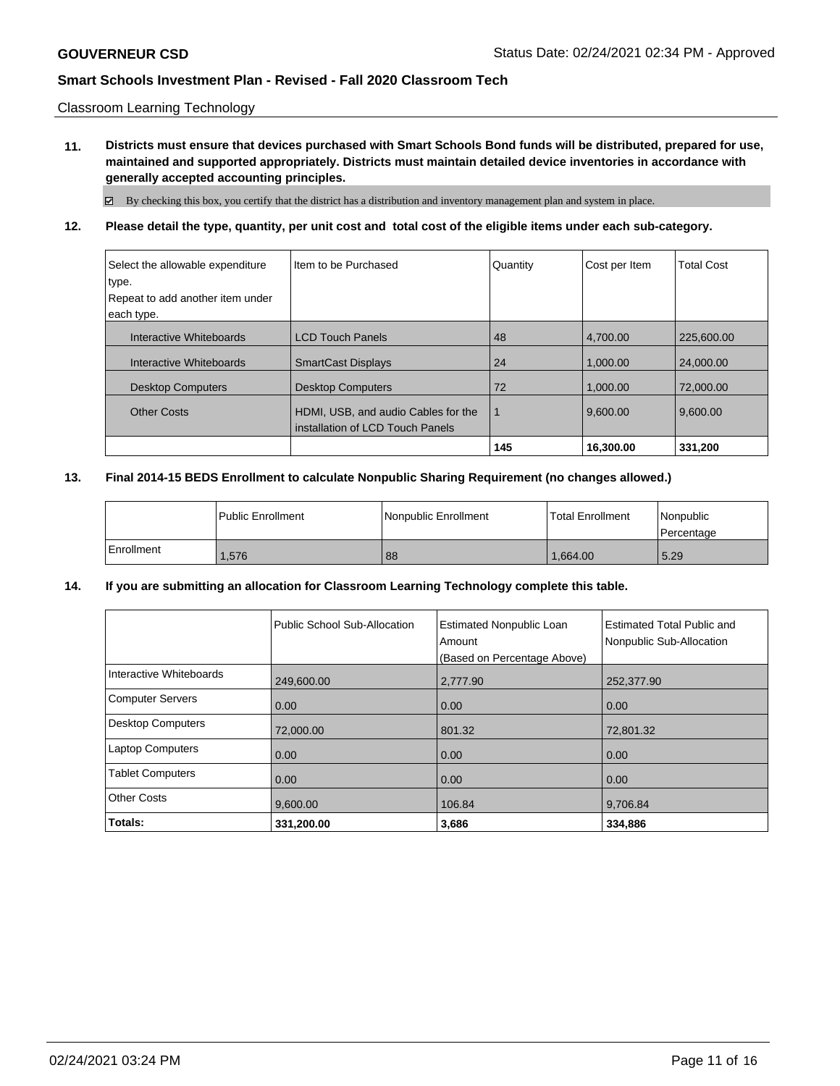### Classroom Learning Technology

**11. Districts must ensure that devices purchased with Smart Schools Bond funds will be distributed, prepared for use, maintained and supported appropriately. Districts must maintain detailed device inventories in accordance with generally accepted accounting principles.**

By checking this box, you certify that the district has a distribution and inventory management plan and system in place.

## **12. Please detail the type, quantity, per unit cost and total cost of the eligible items under each sub-category.**

| Select the allowable expenditure | I Item to be Purchased              | Quantity | Cost per Item | <b>Total Cost</b> |
|----------------------------------|-------------------------------------|----------|---------------|-------------------|
| type.                            |                                     |          |               |                   |
| Repeat to add another item under |                                     |          |               |                   |
| each type.                       |                                     |          |               |                   |
| Interactive Whiteboards          | <b>LCD Touch Panels</b>             | 48       | 4.700.00      | 225.600.00        |
| Interactive Whiteboards          | <b>SmartCast Displays</b>           | 24       | 1.000.00      | 24,000.00         |
| <b>Desktop Computers</b>         | <b>Desktop Computers</b>            | 72       | 1,000.00      | 72,000.00         |
| <b>Other Costs</b>               | HDMI, USB, and audio Cables for the | 1        | 9.600.00      | 9.600.00          |
|                                  | l installation of LCD Touch Panels  |          |               |                   |
|                                  |                                     | 145      | 16,300.00     | 331,200           |

### **13. Final 2014-15 BEDS Enrollment to calculate Nonpublic Sharing Requirement (no changes allowed.)**

|            | Public Enrollment | <b>Nonpublic Enrollment</b> | <b>Total Enrollment</b> | Nonpublic<br>l Percentage |
|------------|-------------------|-----------------------------|-------------------------|---------------------------|
| Enrollment | .576              | 88                          | 1.664.00                | 5.29                      |

## **14. If you are submitting an allocation for Classroom Learning Technology complete this table.**

| Estimated Total Public and<br>Nonpublic Sub-Allocation |
|--------------------------------------------------------|
|                                                        |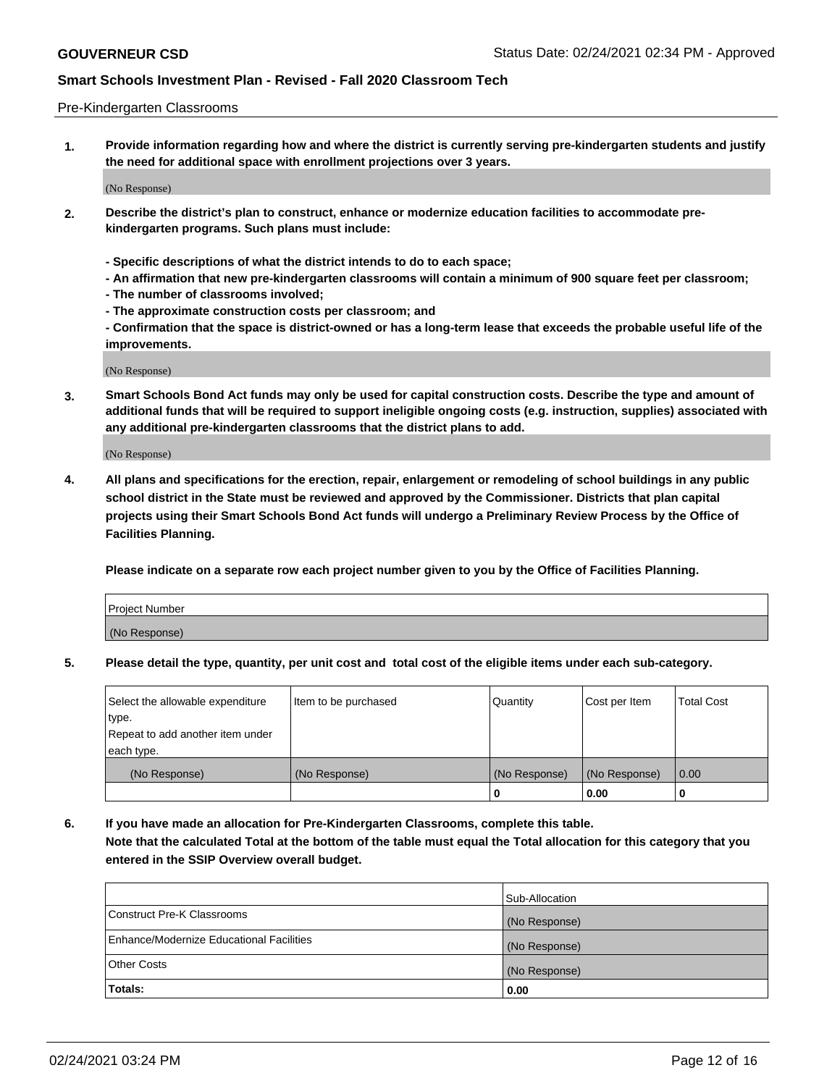### Pre-Kindergarten Classrooms

**1. Provide information regarding how and where the district is currently serving pre-kindergarten students and justify the need for additional space with enrollment projections over 3 years.**

(No Response)

- **2. Describe the district's plan to construct, enhance or modernize education facilities to accommodate prekindergarten programs. Such plans must include:**
	- **Specific descriptions of what the district intends to do to each space;**
	- **An affirmation that new pre-kindergarten classrooms will contain a minimum of 900 square feet per classroom;**
	- **The number of classrooms involved;**
	- **The approximate construction costs per classroom; and**
	- **Confirmation that the space is district-owned or has a long-term lease that exceeds the probable useful life of the improvements.**

(No Response)

**3. Smart Schools Bond Act funds may only be used for capital construction costs. Describe the type and amount of additional funds that will be required to support ineligible ongoing costs (e.g. instruction, supplies) associated with any additional pre-kindergarten classrooms that the district plans to add.**

(No Response)

**4. All plans and specifications for the erection, repair, enlargement or remodeling of school buildings in any public school district in the State must be reviewed and approved by the Commissioner. Districts that plan capital projects using their Smart Schools Bond Act funds will undergo a Preliminary Review Process by the Office of Facilities Planning.**

**Please indicate on a separate row each project number given to you by the Office of Facilities Planning.**

| Project Number |  |
|----------------|--|
| (No Response)  |  |
|                |  |

**5. Please detail the type, quantity, per unit cost and total cost of the eligible items under each sub-category.**

| Select the allowable expenditure | Item to be purchased | Quantity      | Cost per Item | <b>Total Cost</b> |
|----------------------------------|----------------------|---------------|---------------|-------------------|
| type.                            |                      |               |               |                   |
| Repeat to add another item under |                      |               |               |                   |
| each type.                       |                      |               |               |                   |
| (No Response)                    | (No Response)        | (No Response) | (No Response) | 0.00              |
|                                  |                      | U             | 0.00          |                   |

**6. If you have made an allocation for Pre-Kindergarten Classrooms, complete this table. Note that the calculated Total at the bottom of the table must equal the Total allocation for this category that you entered in the SSIP Overview overall budget.**

|                                          | Sub-Allocation |
|------------------------------------------|----------------|
| Construct Pre-K Classrooms               | (No Response)  |
| Enhance/Modernize Educational Facilities | (No Response)  |
| <b>Other Costs</b>                       | (No Response)  |
| Totals:                                  | 0.00           |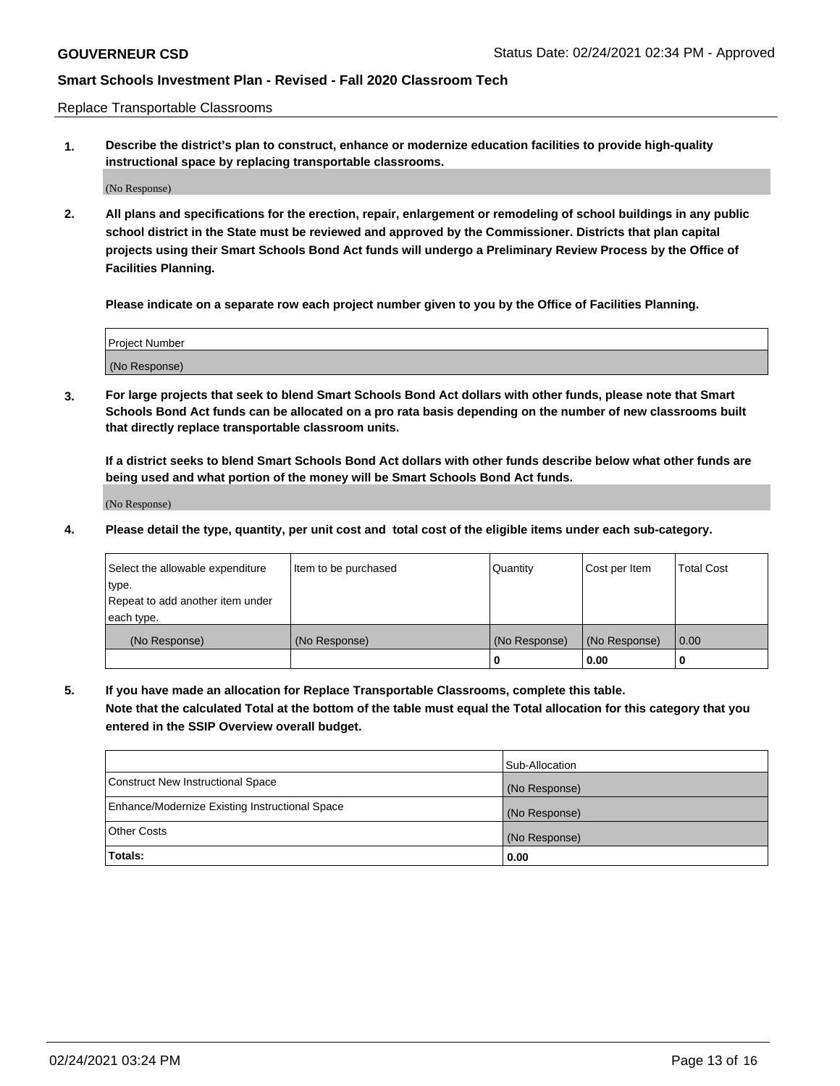Replace Transportable Classrooms

**1. Describe the district's plan to construct, enhance or modernize education facilities to provide high-quality instructional space by replacing transportable classrooms.**

(No Response)

**2. All plans and specifications for the erection, repair, enlargement or remodeling of school buildings in any public school district in the State must be reviewed and approved by the Commissioner. Districts that plan capital projects using their Smart Schools Bond Act funds will undergo a Preliminary Review Process by the Office of Facilities Planning.**

**Please indicate on a separate row each project number given to you by the Office of Facilities Planning.**

| Project Number |  |
|----------------|--|
|                |  |
|                |  |
|                |  |
|                |  |
| (No Response)  |  |
|                |  |
|                |  |
|                |  |

**3. For large projects that seek to blend Smart Schools Bond Act dollars with other funds, please note that Smart Schools Bond Act funds can be allocated on a pro rata basis depending on the number of new classrooms built that directly replace transportable classroom units.**

**If a district seeks to blend Smart Schools Bond Act dollars with other funds describe below what other funds are being used and what portion of the money will be Smart Schools Bond Act funds.**

(No Response)

**4. Please detail the type, quantity, per unit cost and total cost of the eligible items under each sub-category.**

| Select the allowable expenditure | Item to be purchased | Quantity      | Cost per Item | Total Cost |
|----------------------------------|----------------------|---------------|---------------|------------|
| ∣type.                           |                      |               |               |            |
| Repeat to add another item under |                      |               |               |            |
| each type.                       |                      |               |               |            |
| (No Response)                    | (No Response)        | (No Response) | (No Response) | 0.00       |
|                                  |                      | u             | 0.00          |            |

**5. If you have made an allocation for Replace Transportable Classrooms, complete this table. Note that the calculated Total at the bottom of the table must equal the Total allocation for this category that you entered in the SSIP Overview overall budget.**

|                                                | Sub-Allocation |
|------------------------------------------------|----------------|
| Construct New Instructional Space              | (No Response)  |
| Enhance/Modernize Existing Instructional Space | (No Response)  |
| Other Costs                                    | (No Response)  |
| Totals:                                        | 0.00           |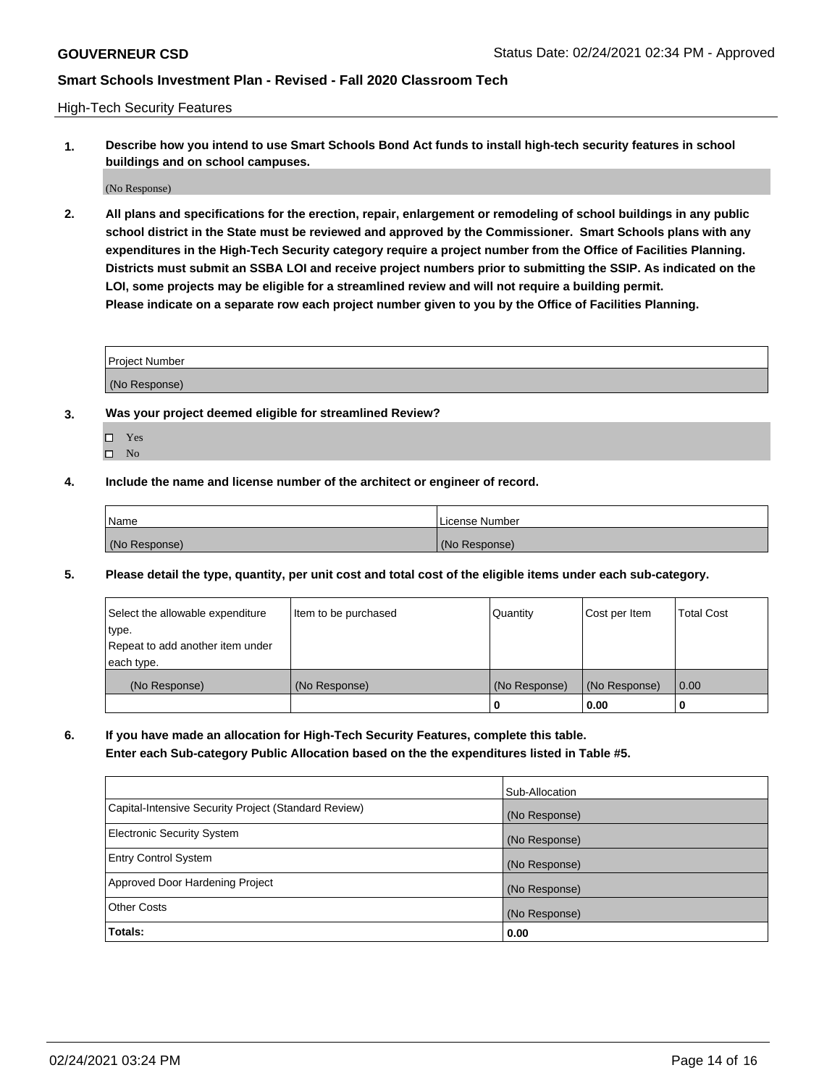High-Tech Security Features

**1. Describe how you intend to use Smart Schools Bond Act funds to install high-tech security features in school buildings and on school campuses.**

(No Response)

**2. All plans and specifications for the erection, repair, enlargement or remodeling of school buildings in any public school district in the State must be reviewed and approved by the Commissioner. Smart Schools plans with any expenditures in the High-Tech Security category require a project number from the Office of Facilities Planning. Districts must submit an SSBA LOI and receive project numbers prior to submitting the SSIP. As indicated on the LOI, some projects may be eligible for a streamlined review and will not require a building permit. Please indicate on a separate row each project number given to you by the Office of Facilities Planning.**

| <b>Project Number</b>                                  |  |
|--------------------------------------------------------|--|
| MN<br>$\sim$ $\sim$ $\sim$ $\sim$ $\sim$ $\sim$ $\sim$ |  |

- **3. Was your project deemed eligible for streamlined Review?**
	- Yes
	- $\hfill \square$  No
- **4. Include the name and license number of the architect or engineer of record.**

| <b>Name</b>   | License Number |
|---------------|----------------|
| (No Response) | (No Response)  |

**5. Please detail the type, quantity, per unit cost and total cost of the eligible items under each sub-category.**

| Select the allowable expenditure | Item to be purchased | Quantity      | Cost per Item | <b>Total Cost</b> |
|----------------------------------|----------------------|---------------|---------------|-------------------|
| type.                            |                      |               |               |                   |
| Repeat to add another item under |                      |               |               |                   |
| each type.                       |                      |               |               |                   |
| (No Response)                    | (No Response)        | (No Response) | (No Response) | 0.00              |
|                                  |                      | 0             | 0.00          |                   |

**6. If you have made an allocation for High-Tech Security Features, complete this table.**

**Enter each Sub-category Public Allocation based on the the expenditures listed in Table #5.**

|                                                      | Sub-Allocation |
|------------------------------------------------------|----------------|
| Capital-Intensive Security Project (Standard Review) | (No Response)  |
| <b>Electronic Security System</b>                    | (No Response)  |
| <b>Entry Control System</b>                          | (No Response)  |
| Approved Door Hardening Project                      | (No Response)  |
| <b>Other Costs</b>                                   | (No Response)  |
| Totals:                                              | 0.00           |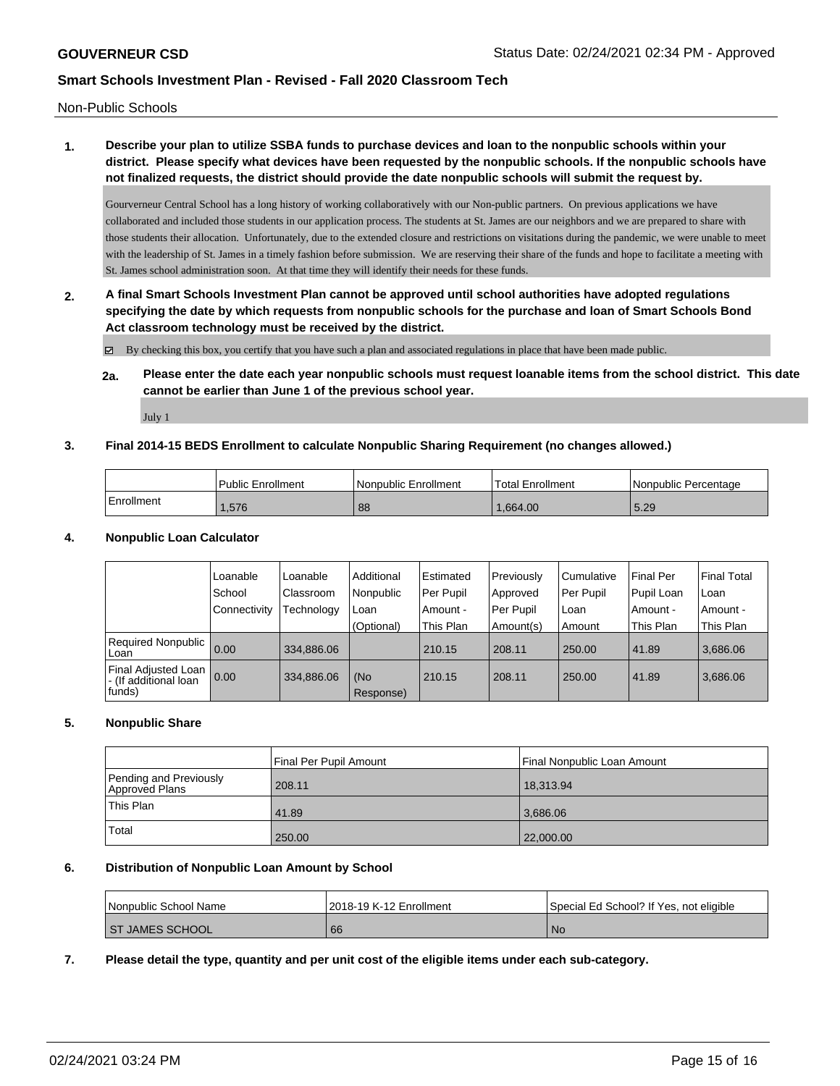Non-Public Schools

# **1. Describe your plan to utilize SSBA funds to purchase devices and loan to the nonpublic schools within your district. Please specify what devices have been requested by the nonpublic schools. If the nonpublic schools have not finalized requests, the district should provide the date nonpublic schools will submit the request by.**

Gourverneur Central School has a long history of working collaboratively with our Non-public partners. On previous applications we have collaborated and included those students in our application process. The students at St. James are our neighbors and we are prepared to share with those students their allocation. Unfortunately, due to the extended closure and restrictions on visitations during the pandemic, we were unable to meet with the leadership of St. James in a timely fashion before submission. We are reserving their share of the funds and hope to facilitate a meeting with St. James school administration soon. At that time they will identify their needs for these funds.

**2. A final Smart Schools Investment Plan cannot be approved until school authorities have adopted regulations specifying the date by which requests from nonpublic schools for the purchase and loan of Smart Schools Bond Act classroom technology must be received by the district.**

By checking this box, you certify that you have such a plan and associated regulations in place that have been made public.

**2a. Please enter the date each year nonpublic schools must request loanable items from the school district. This date cannot be earlier than June 1 of the previous school year.**

July 1

## **3. Final 2014-15 BEDS Enrollment to calculate Nonpublic Sharing Requirement (no changes allowed.)**

|            | Public Enrollment | Nonpublic Enrollment | Total Enrollment | I Nonpublic Percentage |
|------------|-------------------|----------------------|------------------|------------------------|
| Enrollment | .576              | 88                   | 1.664.00         | 5.29                   |

## **4. Nonpublic Loan Calculator**

|                                                         | Loanable       | Loanable   | Additional       | Estimated | Previously | l Cumulative | Final Per  | Final Total |
|---------------------------------------------------------|----------------|------------|------------------|-----------|------------|--------------|------------|-------------|
|                                                         | School         | Classroom  | Nonpublic        | Per Pupil | Approved   | Per Pupil    | Pupil Loan | Loan        |
|                                                         | l Connectivity | Technology | Loan             | Amount -  | Per Pupil  | l Loan       | Amount -   | Amount -    |
|                                                         |                |            | (Optional)       | This Plan | Amount(s)  | Amount       | This Plan  | This Plan   |
| Required Nonpublic 0.00<br>Loan                         |                | 334.886.06 |                  | 210.15    | 208.11     | 250.00       | 41.89      | 3.686.06    |
| Final Adjusted Loan<br> - (If additional loan<br>funds) | 0.00           | 334,886.06 | (No<br>Response) | 210.15    | 208.11     | 250.00       | 41.89      | 3.686.06    |

## **5. Nonpublic Share**

|                                          | Final Per Pupil Amount<br>Final Nonpublic Loan Amount |           |  |  |
|------------------------------------------|-------------------------------------------------------|-----------|--|--|
| Pending and Previously<br>Approved Plans | 208.11                                                | 18.313.94 |  |  |
| 'This Plan                               | 41.89                                                 | 3.686.06  |  |  |
| Total                                    | 250.00                                                | 22,000.00 |  |  |

## **6. Distribution of Nonpublic Loan Amount by School**

| l Nonpublic School Name | 2018-19 K-12 Enrollment | Special Ed School? If Yes, not eligible |
|-------------------------|-------------------------|-----------------------------------------|
| <b>ST JAMES SCHOOL</b>  | 66                      | N0                                      |

**7. Please detail the type, quantity and per unit cost of the eligible items under each sub-category.**